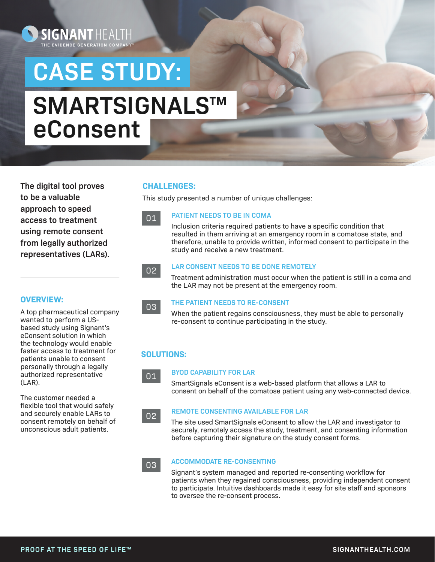# **CASE STUDY: SMARTSIGNALS**™ **eConsent**

**The digital tool proves to be a valuable approach to speed access to treatment using remote consent from legally authorized representatives (LARs).** 

**SIGNANTHEALT** THE EVIDENCE GENERATION COM

# **CHALLENGES:**

This study presented a number of unique challenges:

# 01

#### **PATIENT NEEDS TO BE IN COMA**

Inclusion criteria required patients to have a specific condition that resulted in them arriving at an emergency room in a comatose state, and therefore, unable to provide written, informed consent to participate in the study and receive a new treatment.

# 02

# **LAR CONSENT NEEDS TO BE DONE REMOTELY**

Treatment administration must occur when the patient is still in a coma and the LAR may not be present at the emergency room.

### **THE PATIENT NEEDS TO RE-CONSENT**

When the patient regains consciousness, they must be able to personally re-consent to continue participating in the study.

# **SOLUTIONS:**

01

03

02

### **BYOD CAPABILITY FOR LAR**

SmartSignals eConsent is a web-based platform that allows a LAR to consent on behalf of the comatose patient using any web-connected device.

### **REMOTE CONSENTING AVAILABLE FOR LAR**

The site used SmartSignals eConsent to allow the LAR and investigator to securely, remotely access the study, treatment, and consenting information before capturing their signature on the study consent forms.

#### **ACCOMMODATE RE-CONSENTING**  03

Signant's system managed and reported re-consenting workflow for patients when they regained consciousness, providing independent consent to participate. Intuitive dashboards made it easy for site staff and sponsors to oversee the re-consent process.

### **OVERVIEW:**

A top pharmaceutical company wanted to perform a USbased study using Signant's eConsent solution in which the technology would enable faster access to treatment for patients unable to consent personally through a legally authorized representative (LAR).

The customer needed a flexible tool that would safely and securely enable LARs to consent remotely on behalf of unconscious adult patients.